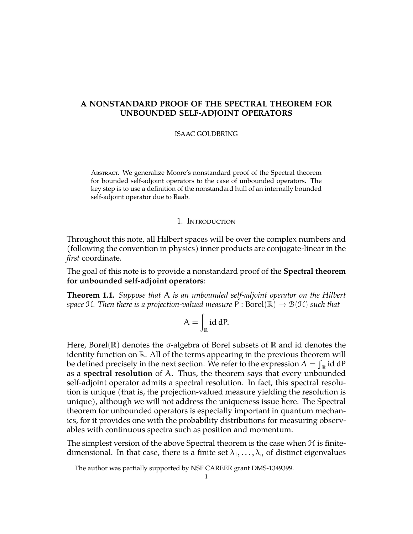# **A NONSTANDARD PROOF OF THE SPECTRAL THEOREM FOR UNBOUNDED SELF-ADJOINT OPERATORS**

## ISAAC GOLDBRING

Abstract. We generalize Moore's nonstandard proof of the Spectral theorem for bounded self-adjoint operators to the case of unbounded operators. The key step is to use a definition of the nonstandard hull of an internally bounded self-adjoint operator due to Raab.

# 1. Introduction

Throughout this note, all Hilbert spaces will be over the complex numbers and (following the convention in physics) inner products are conjugate-linear in the *first* coordinate.

The goal of this note is to provide a nonstandard proof of the **Spectral theorem for unbounded self-adjoint operators**:

<span id="page-0-0"></span>**Theorem 1.1.** *Suppose that* A *is an unbounded self-adjoint operator on the Hilbert space*  $H$ *. Then there is a projection-valued measure*  $P : Borel(\mathbb{R}) \to B(\mathcal{H})$  *such that* 

$$
A=\int_{\mathbb{R}}id\ dP.
$$

Here, Borel( $\mathbb R$ ) denotes the  $\sigma$ -algebra of Borel subsets of  $\mathbb R$  and id denotes the identity function on  $\mathbb{R}$ . All of the terms appearing in the previous theorem will be defined precisely in the next section. We refer to the expression  $A = \int_{\mathbb{R}} id \, dP$ as a **spectral resolution** of A. Thus, the theorem says that every unbounded self-adjoint operator admits a spectral resolution. In fact, this spectral resolution is unique (that is, the projection-valued measure yielding the resolution is unique), although we will not address the uniqueness issue here. The Spectral theorem for unbounded operators is especially important in quantum mechanics, for it provides one with the probability distributions for measuring observables with continuous spectra such as position and momentum.

The simplest version of the above Spectral theorem is the case when  $H$  is finitedimensional. In that case, there is a finite set  $\lambda_1, \ldots, \lambda_n$  of distinct eigenvalues

The author was partially supported by NSF CAREER grant DMS-1349399.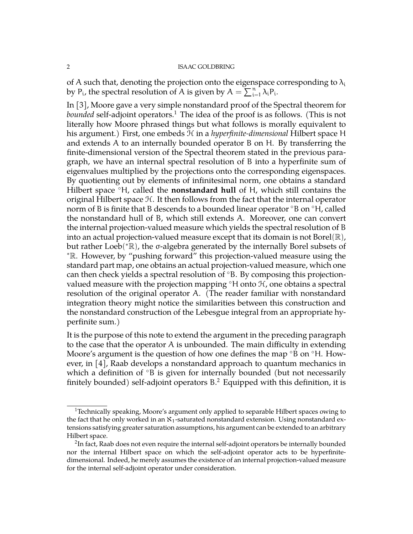of A such that, denoting the projection onto the eigenspace corresponding to  $\lambda_i$ by P<sub>i</sub>, the spectral resolution of A is given by  $A = \sum_{i=1}^{n} \lambda_i P_i$ .

In [\[3\]](#page-14-0), Moore gave a very simple nonstandard proof of the Spectral theorem for *bounded* self-adjoint operators.[1](#page-1-0) The idea of the proof is as follows. (This is not literally how Moore phrased things but what follows is morally equivalent to his argument.) First, one embeds H in a *hyperfinite-dimensional* Hilbert space H and extends A to an internally bounded operator B on H. By transferring the finite-dimensional version of the Spectral theorem stated in the previous paragraph, we have an internal spectral resolution of B into a hyperfinite sum of eigenvalues multiplied by the projections onto the corresponding eigenspaces. By quotienting out by elements of infinitesimal norm, one obtains a standard Hilbert space ◦H, called the **nonstandard hull** of H, which still contains the original Hilbert space H. It then follows from the fact that the internal operator norm of B is finite that B descends to a bounded linear operator ◦B on ◦H, called the nonstandard hull of B, which still extends A. Moreover, one can convert the internal projection-valued measure which yields the spectral resolution of B into an actual projection-valued measure except that its domain is not Borel $(\mathbb{R})$ , but rather Loeb(\*ℝ), the σ-algebra generated by the internally Borel subsets of <sup>∗</sup>R. However, by "pushing forward" this projection-valued measure using the standard part map, one obtains an actual projection-valued measure, which one can then check yields a spectral resolution of ◦B. By composing this projectionvalued measure with the projection mapping  $\partial H$  onto  $\mathcal{H}$ , one obtains a spectral resolution of the original operator A. (The reader familiar with nonstandard integration theory might notice the similarities between this construction and the nonstandard construction of the Lebesgue integral from an appropriate hyperfinite sum.)

It is the purpose of this note to extend the argument in the preceding paragraph to the case that the operator A is unbounded. The main difficulty in extending Moore's argument is the question of how one defines the map °B on °H. However, in [\[4\]](#page-15-0), Raab develops a nonstandard approach to quantum mechanics in which a definition of <sup>◦</sup>B is given for internally bounded (but not necessarily finitely bounded) self-adjoint operators B. [2](#page-1-1) Equipped with this definition, it is

<span id="page-1-0"></span><sup>&</sup>lt;sup>1</sup>Technically speaking, Moore's argument only applied to separable Hilbert spaces owing to the fact that he only worked in an  $x_1$ -saturated nonstandard extension. Using nonstandard extensions satisfying greater saturation assumptions, his argument can be extended to an arbitrary Hilbert space.

<span id="page-1-1"></span> $^2$ In fact, Raab does not even require the internal self-adjoint operators be internally bounded nor the internal Hilbert space on which the self-adjoint operator acts to be hyperfinitedimensional. Indeed, he merely assumes the existence of an internal projection-valued measure for the internal self-adjoint operator under consideration.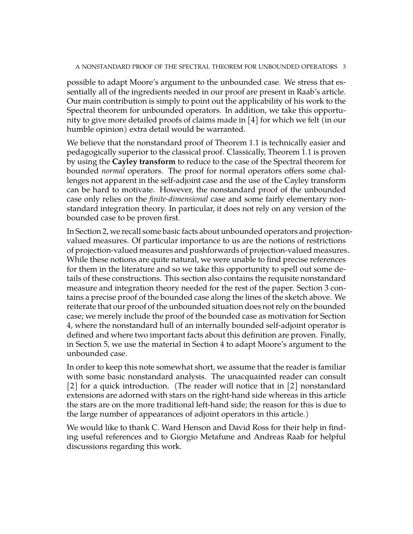possible to adapt Moore's argument to the unbounded case. We stress that essentially all of the ingredients needed in our proof are present in Raab's article. Our main contribution is simply to point out the applicability of his work to the Spectral theorem for unbounded operators. In addition, we take this opportunity to give more detailed proofs of claims made in [\[4\]](#page-15-0) for which we felt (in our humble opinion) extra detail would be warranted.

We believe that the nonstandard proof of Theorem [1.1](#page-0-0) is technically easier and pedagogically superior to the classical proof. Classically, Theorem [1.1](#page-0-0) is proven by using the **Cayley transform** to reduce to the case of the Spectral theorem for bounded *normal* operators. The proof for normal operators offers some challenges not apparent in the self-adjoint case and the use of the Cayley transform can be hard to motivate. However, the nonstandard proof of the unbounded case only relies on the *finite-dimensional* case and some fairly elementary nonstandard integration theory. In particular, it does not rely on any version of the bounded case to be proven first.

In Section 2, we recall some basic facts about unbounded operators and projectionvalued measures. Of particular importance to us are the notions of restrictions of projection-valued measures and pushforwards of projection-valued measures. While these notions are quite natural, we were unable to find precise references for them in the literature and so we take this opportunity to spell out some details of these constructions. This section also contains the requisite nonstandard measure and integration theory needed for the rest of the paper. Section 3 contains a precise proof of the bounded case along the lines of the sketch above. We reiterate that our proof of the unbounded situation does not rely on the bounded case; we merely include the proof of the bounded case as motivation for Section 4, where the nonstandard hull of an internally bounded self-adjoint operator is defined and where two important facts about this definition are proven. Finally, in Section 5, we use the material in Section 4 to adapt Moore's argument to the unbounded case.

In order to keep this note somewhat short, we assume that the reader is familiar with some basic nonstandard analysis. The unacquainted reader can consult [\[2\]](#page-14-1) for a quick introduction. (The reader will notice that in [\[2\]](#page-14-1) nonstandard extensions are adorned with stars on the right-hand side whereas in this article the stars are on the more traditional left-hand side; the reason for this is due to the large number of appearances of adjoint operators in this article.)

We would like to thank C. Ward Henson and David Ross for their help in finding useful references and to Giorgio Metafune and Andreas Raab for helpful discussions regarding this work.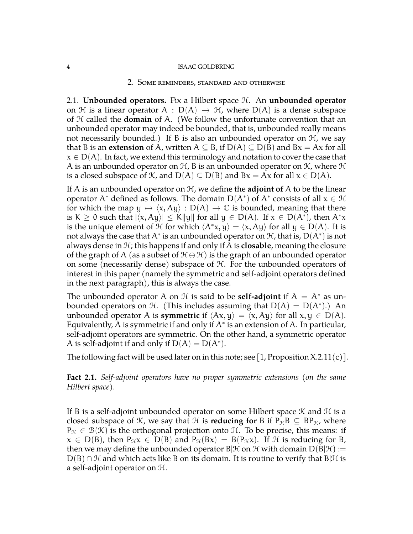### 2. Some reminders, standard and otherwise

2.1. **Unbounded operators.** Fix a Hilbert space H. An **unbounded operator** on H is a linear operator A :  $D(A) \rightarrow H$ , where  $D(A)$  is a dense subspace of H called the **domain** of A. (We follow the unfortunate convention that an unbounded operator may indeed be bounded, that is, unbounded really means not necessarily bounded.) If B is also an unbounded operator on  $H$ , we say that B is an **extension** of A, written  $A \subseteq B$ , if  $D(A) \subseteq D(B)$  and  $Bx = Ax$  for all  $x \in D(A)$ . In fact, we extend this terminology and notation to cover the case that A is an unbounded operator on  $H$ , B is an unbounded operator on  $K$ , where  $H$ is a closed subspace of  $\mathcal{K}$ , and  $D(A) \subseteq D(B)$  and  $Bx = Ax$  for all  $x \in D(A)$ .

If A is an unbounded operator on  $H$ , we define the **adjoint of** A to be the linear operator A<sup>\*</sup> defined as follows. The domain  $D(A^*)$  of A<sup>\*</sup> consists of all  $x \in \mathcal{H}$ for which the map  $y \mapsto \langle x, Ay \rangle : D(A) \to \mathbb{C}$  is bounded, meaning that there is K  $\geq$  0 such that  $|\langle x, Ay \rangle| \leq K \|y\|$  for all  $y \in D(A)$ . If  $x \in D(A^*)$ , then  $A^*x$ is the unique element of  $\mathcal H$  for which  $\langle A^*x, y \rangle = \langle x, Ay \rangle$  for all  $y \in D(A)$ . It is not always the case that  $\mathsf{A}^*$  is an unbounded operator on  $\mathfrak{H}$ , that is,  $\mathsf{D}(\mathsf{A}^*)$  is not always dense in  $\mathcal{H}$ ; this happens if and only if A is **closable**, meaning the closure of the graph of A (as a subset of  $\mathcal{H} \oplus \mathcal{H}$ ) is the graph of an unbounded operator on some (necessarily dense) subspace of H. For the unbounded operators of interest in this paper (namely the symmetric and self-adjoint operators defined in the next paragraph), this is always the case.

The unbounded operator A on H is said to be **self-adjoint** if  $A = A^*$  as unbounded operators on  $H$ . (This includes assuming that  $D(A) = D(A^*)$ .) An unbounded operator A is **symmetric** if  $\langle Ax, y \rangle = \langle x, Ay \rangle$  for all  $x, y \in D(A)$ . Equivalently,  $\bar{A}$  is symmetric if and only if  $A^*$  is an extension of  $A$ . In particular, self-adjoint operators are symmetric. On the other hand, a symmetric operator A is self-adjoint if and only if  $D(A) = D(A^*)$ .

The following fact will be used later on in this note; see [\[1,](#page-14-2) Proposition X.2.11(c)].

<span id="page-3-0"></span>**Fact 2.1.** *Self-adjoint operators have no proper symmetric extensions (on the same Hilbert space).*

If B is a self-adjoint unbounded operator on some Hilbert space  $K$  and  $H$  is a closed subspace of K, we say that H is **reducing for** B if  $P_{\mathcal{H}}B \subseteq BP_{\mathcal{H}}$ , where  $P_{\mathcal{H}} \in \mathcal{B}(\mathcal{K})$  is the orthogonal projection onto  $\mathcal{H}$ . To be precise, this means: if  $x \in D(B)$ , then  $P_{\mathcal{H}}x \in D(B)$  and  $P_{\mathcal{H}}(Bx) = B(P_{\mathcal{H}}x)$ . If H is reducing for B, then we may define the unbounded operator  $B|\mathcal{H}$  on  $\mathcal{H}$  with domain  $D(B|\mathcal{H}) :=$  $D(B) \cap \mathcal{H}$  and which acts like B on its domain. It is routine to verify that B| $\mathcal{H}$  is a self-adjoint operator on H.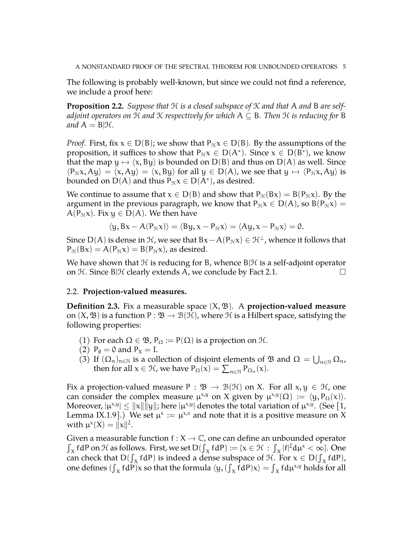The following is probably well-known, but since we could not find a reference, we include a proof here:

<span id="page-4-0"></span>**Proposition 2.2.** *Suppose that* H *is a closed subspace of* K *and that* A *and* B *are selfadjoint operators on* H *and* K *respectively for which* A ⊆ B*. Then* H *is reducing for* B *and*  $A = B/H$ *.* 

*Proof.* First, fix  $x \in D(B)$ ; we show that  $P_{\mathcal{H}}x \in D(B)$ . By the assumptions of the proposition, it suffices to show that  $P_{\mathcal{H}}x \in D(A^*)$ . Since  $x \in D(B^*)$ , we know that the map  $y \mapsto \langle x, By \rangle$  is bounded on D(B) and thus on D(A) as well. Since  $\langle P_{\mathcal{H}}x, Ay \rangle = \langle x, Ay \rangle = \langle x, By \rangle$  for all  $y \in D(A)$ , we see that  $y \mapsto \langle P_{\mathcal{H}}x, Ay \rangle$  is bounded on  $D(A)$  and thus  $P_{\mathcal{H}}x \in D(A^*)$ , as desired.

We continue to assume that  $x \in D(B)$  and show that  $P_{\mathcal{H}}(Bx) = B(P_{\mathcal{H}}x)$ . By the argument in the previous paragraph, we know that  $P_{\mathcal{H}}x \in D(A)$ , so  $B(P_{\mathcal{H}}x) =$  $A(P_{\mathcal{H}}x)$ . Fix  $y \in D(A)$ . We then have

$$
\langle y, Bx - A(P_{\mathcal{H}}x) \rangle = \langle By, x - P_{\mathcal{H}}x \rangle = \langle Ay, x - P_{\mathcal{H}}x \rangle = 0.
$$

Since D(A) is dense in  $\mathcal{H}$ , we see that Bx – A(P<sub> $\mathcal{H}$ </sub>x) ∈  $\mathcal{H}^{\perp}$ , whence it follows that  $P_{\mathcal{H}}(Bx) = A(P_{\mathcal{H}}x) = B(P_{\mathcal{H}}x)$ , as desired.

We have shown that  $H$  is reducing for B, whence  $B|H$  is a self-adjoint operator on H. Since B|H clearly extends A, we conclude by Fact [2.1.](#page-3-0)  $\Box$ 

# 2.2. **Projection-valued measures.**

**Definition 2.3.** Fix a measurable space (X, B). A **projection-valued measure** on  $(X, \mathfrak{B})$  is a function  $P : \mathfrak{B} \to \mathfrak{B}(\mathfrak{H})$ , where  $\mathfrak{H}$  is a Hilbert space, satisfying the following properties:

- (1) For each  $\Omega \in \mathfrak{B}$ ,  $P_{\Omega} := P(\Omega)$  is a projection on  $\mathfrak{H}$ .
- (2)  $P_{\emptyset} = 0$  and  $P_X = I$ .
- (3) If  $(\Omega_n)_{n \in \mathbb{N}}$  is a collection of disjoint elements of  $\mathfrak{B}$  and  $\Omega = \bigcup_{n \in \mathbb{N}} \Omega_n$ , then for all  $x \in \mathcal{H}$ , we have  $P_{\Omega}(x) = \sum_{n \in \mathbb{N}} P_{\Omega_n}(x)$ .

Fix a projection-valued measure P :  $\mathfrak{B} \to \mathfrak{B}(\mathfrak{H})$  on X. For all  $x, y \in \mathfrak{H}$ , one can consider the complex measure  $\mu^{x,y}$  on X given by  $\mu^{x,y}(\Omega) := \langle y, P_{\Omega}(x) \rangle$ . Moreover,  $|\mu^{x,y}| \leq ||x|| ||y||$ ; here  $|\mu^{x,y}|$  denotes the total variation of  $\mu^{x,y}$ . (See [\[1,](#page-14-2) Lemma IX.1.9].) We set  $\mu^x := \mu^{x,x}$  and note that it is a positive measure on X with  $\mu^x(X) = ||x||^2$ .

Given a measurable function  $f: X \to \mathbb{C}$ , one can define an unbounded operator  $\int_X f dP$  on H as follows. First, we set  $D(\int_X f dP) := \{x \in \mathcal{H} : \int_X |f|^2 d\mu^x < \infty\}$ . One can check that  $D(\int_X f dP)$  is indeed a dense subspace of  $\mathcal{H}$ . For  $x \in D(\int_X f dP)$ , one defines  $(\int_X f dP) x$  so that the formula  $\langle y, (\int_X \hat{f} dP) x \rangle = \int_X f d\mu^{x,y}$  holds for all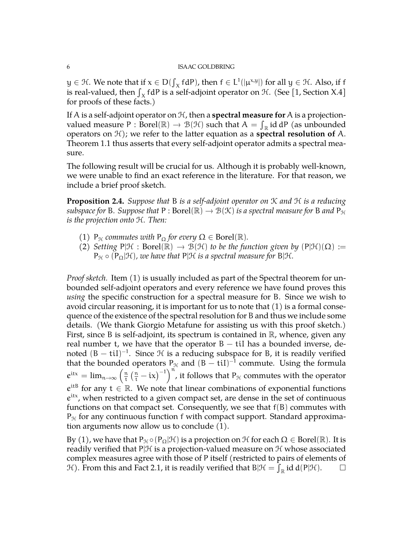$y \in H$ . We note that if  $x \in D(\int_X f dP)$ , then  $f \in L^1(|\mu^{x,y}|)$  for all  $y \in H$ . Also, if f is real-valued, then  $\int_X f dP$  is a self-adjoint operator on  $\mathcal{H}$ . (See [\[1,](#page-14-2) Section X.4] for proofs of these facts.)

If A is a self-adjoint operator on  $H$ , then a **spectral measure for** A is a projectionvalued measure P :  $\text{Borel}(\mathbb{R}) \to \mathcal{B}(\mathcal{H})$  such that  $A = \int_{\mathbb{R}} id \, dP$  (as unbounded<br>concreters on  $\mathcal{H}$ ) we refer to the latter equation as a spectral resolution of  $\Lambda$ operators on  $\mathcal{H}$ ); we refer to the latter equation as a **spectral resolution of** A. Theorem [1.1](#page-0-0) thus asserts that every self-adjoint operator admits a spectral measure.

The following result will be crucial for us. Although it is probably well-known, we were unable to find an exact reference in the literature. For that reason, we include a brief proof sketch.

<span id="page-5-0"></span>**Proposition 2.4.** *Suppose that* B *is a self-adjoint operator on* K *and* H *is a reducing subspace for* B. Suppose that  $P : Borel(\mathbb{R}) \to B(\mathcal{K})$  *is a spectral measure for* B *and*  $P_{\mathcal{H}}$ *is the projection onto* H*. Then:*

- (1)  $P_{\mathcal{H}}$  *commutes with*  $P_{\Omega}$  *for every*  $\Omega \in \text{Borel}(\mathbb{R})$ *.*
- (2) *Setting*  $P|\mathcal{H} : Borel(\mathbb{R}) \to B(\mathcal{H})$  *to be the function given by*  $(P|\mathcal{H})(\Omega) :=$  $P_{\mathcal{H}} \circ (P_{\Omega}|\mathcal{H})$ *, we have that*  $P|\mathcal{H}$  *is a spectral measure for*  $B|\mathcal{H}$ *.*

*Proof sketch.* Item (1) is usually included as part of the Spectral theorem for unbounded self-adjoint operators and every reference we have found proves this *using* the specific construction for a spectral measure for B. Since we wish to avoid circular reasoning, it is important for us to note that (1) is a formal consequence of the existence of the spectral resolution for B and thus we include some details. (We thank Giorgio Metafune for assisting us with this proof sketch.) First, since B is self-adjoint, its spectrum is contained in  $\mathbb R$ , whence, given any real number t, we have that the operator  $B - t$  iI has a bounded inverse, denoted  $(B - t i I)^{-1}$ . Since  $H$  is a reducing subspace for B, it is readily verified that the bounded operators  $P_{\mathcal{H}}$  and  $(B - \text{til})^{-1}$  commute. Using the formula  $e^{\mathrm{i} \mathrm{t} \mathrm{x}} = \lim_{n \to \infty} \left( \frac{n}{\mathrm{t}} \right)$  $\left(\frac{n}{t} - ix\right)^{-1}$ , it follows that P<sub>H</sub> commutes with the operator  $e^{itB}$  for any  $t \in \mathbb{R}$ . We note that linear combinations of exponential functions e<sup>itx</sup>, when restricted to a given compact set, are dense in the set of continuous functions on that compact set. Consequently, we see that  $f(B)$  commutes with  $P_{\mathcal{H}}$  for any continuous function f with compact support. Standard approximation arguments now allow us to conclude (1).

By (1), we have that  $P_{\mathcal{H}} \circ (P_{\Omega}|\mathcal{H})$  is a projection on  $\mathcal{H}$  for each  $\Omega \in \text{Borel}(\mathbb{R})$ . It is readily verified that  $P|\mathcal{H}$  is a projection-valued measure on  $\mathcal{H}$  whose associated complex measures agree with those of P itself (restricted to pairs of elements of H). From this and Fact [2.1,](#page-3-0) it is readily verified that  $B|\mathcal{H} = \int_{\mathbb{R}} id \, d(P|\mathcal{H})$ .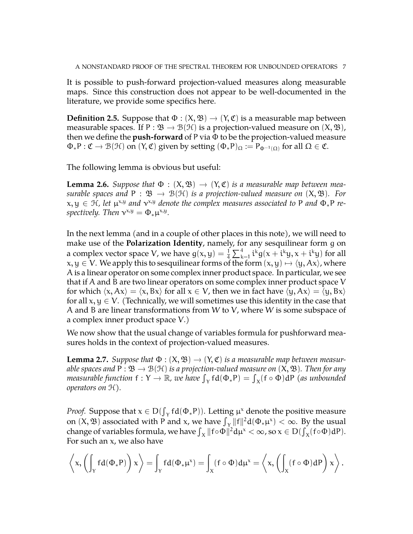It is possible to push-forward projection-valued measures along measurable maps. Since this construction does not appear to be well-documented in the literature, we provide some specifics here.

**Definition 2.5.** Suppose that  $\Phi$  :  $(X, \mathfrak{B}) \rightarrow (Y, \mathfrak{C})$  is a measurable map between measurable spaces. If  $P : \mathfrak{B} \to \mathfrak{B}(\mathfrak{H})$  is a projection-valued measure on  $(X, \mathfrak{B})$ , then we define the **push-forward** of P via Φ to be the projection-valued measure  $\Phi_*P : \mathfrak{C} \to \mathcal{B}(\mathcal{H})$  on  $(\mathsf{Y}, \mathfrak{C})$  given by setting  $(\Phi_*P)_{\Omega} := P_{\Phi^{-1}(\Omega)}$  for all  $\Omega \in \mathfrak{C}$ .

The following lemma is obvious but useful:

**Lemma 2.6.** *Suppose that*  $\Phi : (X, \mathfrak{B}) \to (Y, \mathfrak{C})$  *is a measurable map between measurable spaces and*  $P : \mathfrak{B} \to \mathfrak{B}(\mathfrak{H})$  *is a projection-valued measure on*  $(X, \mathfrak{B})$ *. For*  $x, y \in H$ , let  $\mu^{x,y}$  and  $v^{x,y}$  denote the complex measures associated to P and  $\Phi_* P$  respectively. Then  $v^{x,y} = \Phi_* \mu^{x,y}$ .

In the next lemma (and in a couple of other places in this note), we will need to make use of the **Polarization Identity**, namely, for any sesquilinear form g on a complex vector space V, we have  $g(x, y) = \frac{1}{4} \sum_{k=1}^{4} i^k g(x + i^k y, x + i^k y)$  for all  $x, y \in V$ . We apply this to sesquilinear forms of the form  $(x, y) \mapsto \langle y, Ax \rangle$ , where A is a linear operator on some complex inner product space. In particular, we see that if A and B are two linear operators on some complex inner product space V for which  $\langle x, Ax \rangle = \langle x, Bx \rangle$  for all  $x \in V$ , then we in fact have  $\langle y, Ax \rangle = \langle y, Bx \rangle$ for all  $x, y \in V$ . (Technically, we will sometimes use this identity in the case that A and B are linear transformations from W to V, where W is some subspace of a complex inner product space V.)

We now show that the usual change of variables formula for pushforward measures holds in the context of projection-valued measures.

<span id="page-6-0"></span>**Lemma 2.7.** *Suppose that*  $\Phi$  :  $(X, \mathfrak{B}) \rightarrow (Y, \mathfrak{C})$  *is a measurable map between measurable spaces and*  $P : \mathfrak{B} \to \mathfrak{B}(\mathfrak{H})$  *is a projection-valued measure on*  $(X, \mathfrak{B})$ *. Then for any measurable function*  $f: Y \to \mathbb{R}$ , we have  $\int_Y f d(\Phi_* P) = \int_X (f \circ \Phi) dP$  (as unbounded and  $\int_Y f d(\Phi_* P) = \int_X (f \circ \Phi) dP$ *operators on* H*).*

*Proof.* Suppose that  $x \in D(\int_Y fd(\Phi_* P))$ . Letting  $\mu^x$  denote the positive measure on  $(X, \mathfrak{B})$  associated with P and x, we have  $\int_Y ||f||^2 d(\Phi_* \mu^x) < \infty$ . By the usual change of variables formula, we have  $\int_X ||f \circ \Phi||^2 d\mu^x < \infty$ , so  $x \in D(\int_X (f \circ \Phi) dP)$ . For such an x, we also have

$$
\left\langle x,\left(\int_Y f d(\Phi_*P)\right)x\right\rangle = \int_Y f d(\Phi_*\mu^x) = \int_X (f\circ\Phi) d\mu^x = \left\langle x,\left(\int_X (f\circ\Phi) dP\right)x\right\rangle.
$$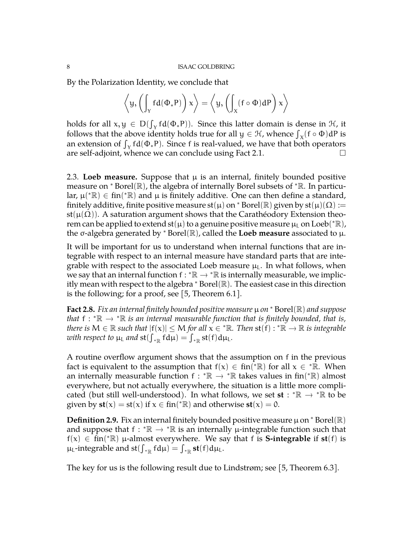By the Polarization Identity, we conclude that

$$
\left\langle y, \left(\int_Y f d(\Phi_*P)\right) x\right\rangle = \left\langle y, \left(\int_X (f\circ\Phi) dP\right) x\right\rangle
$$

holds for all  $x, y \in D(\int_Y fd(\Phi_* P))$ . Since this latter domain is dense in  $\mathcal{H}$ , it follows that the above identity holds true for all  $y \in \mathcal{H}$ , whence  $\int_X (f \circ \Phi) dP$  is an extension of  $\int_Y f d(\Phi_* P)$ . Since f is real-valued, we have that both operators are self-adjoint, whence we can conclude using Fact [2.1.](#page-3-0)

2.3. **Loeb measure.** Suppose that  $\mu$  is an internal, finitely bounded positive measure on <sup>∗</sup> Borel(ℝ), the algebra of internally Borel subsets of <sup>∗</sup>ℝ. In particular,  $\mu$ (\* $\mathbb{R}$ )  $\in$  fin(\* $\mathbb{R}$ ) and  $\mu$  is finitely additive. One can then define a standard, finitely additive, finite positive measure st( $\mu$ ) on  ${}^*$  Borel( $\mathbb R$ ) given by st( $\mu$ )( $\Omega$ ) :=  $st(\mu(\Omega))$ . A saturation argument shows that the Carathéodory Extension theorem can be applied to extend st(µ) to a genuine positive measure  $\mu_L$  on Loeb(\* $\mathbb R$ ), the σ-algebra generated by <sup>∗</sup> Borel(R), called the **Loeb measure** associated to µ.

It will be important for us to understand when internal functions that are integrable with respect to an internal measure have standard parts that are integrable with respect to the associated Loeb measure  $\mu_L$ . In what follows, when we say that an internal function  $f: {}^{*}\mathbb{R} \to {}^{*}\mathbb{R}$  is internally measurable, we implic-<br>itly means with general to the algebra  ${}^{*}$  Bayel( $\mathbb{R}$ ). The excient assain this direction itly mean with respect to the algebra  $*$  Borel( $\mathbb R$ ). The easiest case in this direction is the following; for a proof, see [\[5,](#page-15-1) Theorem 6.1].

<span id="page-7-0"></span>**Fact 2.8.** *Fix an internal finitely bounded positive measure* µ *on* <sup>∗</sup> Borel(R) *and suppose that*  $f: {}^{*}\mathbb{R} \to {}^{*}\mathbb{R}$  *is an internal measurable function that is finitely bounded, that is,*<br>there is  $M \subset \mathbb{R}$  and that  $|f(x)| \leq M$  for all  $x \in {}^{*}\mathbb{R}$ . Then  $g(f)$ ,  ${}^{*}\mathbb{R} \to \mathbb{R}$  is integrable *there is*  $M \in \mathbb{R}$  *such that*  $|f(x)| \leq M$  *for all*  $x \in$  \* $\mathbb{R}$ *. Then*  $st(f) :$  \* $\mathbb{R} \to \mathbb{R}$  *is integrable* with respect to  $\mu_{\mathsf{L}}$  and  $\mathsf{st}(\int_{{}^*\mathbb{R}}\mathsf{fd}\mu)=\int_{{}^*\mathbb{R}}\mathsf{st}(\mathsf{f})\mathsf{d}\mu_{\mathsf{L}}.$ 

A routine overflow argument shows that the assumption on f in the previous fact is equivalent to the assumption that  $f(x) \in fin({^*\mathbb{R}})$  for all  $x \in {^*\mathbb{R}}$ . When an internally measurable function  $f : \mathbb{R} \to \mathbb{R}$  takes values in fin( $\mathbb{R}$ ) almost everywhere, but not actually everywhere, the situation is a little more complicated (but still well-understood). In what follows, we set **st** :  $* \mathbb{R} \to * \mathbb{R}$  to be given by  $st(x) = st(x)$  if  $x \in fin({^*\mathbb{R}})$  and otherwise  $st(x) = 0$ .

**Definition 2.9.** Fix an internal finitely bounded positive measure  $\mu$  on  $*$  Borel( $\mathbb{R}$ ) and suppose that  $f: {}^{*}\mathbb{R} \to {}^{*}\mathbb{R}$  is an internally  $\mu$ -integrable function such that  $f(\mu) \in \mathcal{F}$  is  $f(\mu)$  is  $f(\mu)$  is  $f(\mu)$  is  $f(\mu)$  is  $f(\mu)$  is  $f(\mu)$  is  $f(\mu)$  is  $f(\mu)$  is  $f(\mu)$  is  $f(\mu)$  is  $f(\mu)$  is  $f(x) \in \text{fin}(\mathbb{R})$  µ-almost everywhere. We say that f is **S-integrable** if st(f) is  $\mu_L$ -integrable and st( $\int_{\mathbb{R}} f d\mu$ ) =  $\int_{\mathbb{R}} s t(f) d\mu_L$ .

The key for us is the following result due to Lindstrøm; see [\[5,](#page-15-1) Theorem 6.3].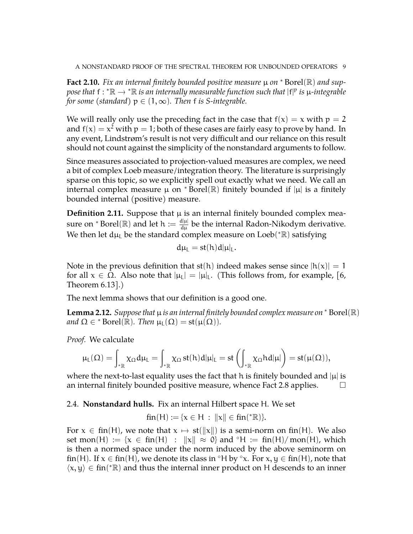<span id="page-8-1"></span>**Fact 2.10.** *Fix an internal finitely bounded positive measure* µ *on* <sup>∗</sup> Borel(R) *and suppose that* f : <sup>∗</sup><sup>R</sup> <sup>→</sup> <sup>∗</sup><sup>R</sup> *is an internally measurable function such that* <sup>|</sup>f<sup>|</sup> p *is* µ*-integrable for some (standard)*  $p \in (1, \infty)$ *. Then f is S-integrable.* 

We will really only use the preceding fact in the case that  $f(x) = x$  with  $p = 2$ and  $f(x) = x^2$  with  $p = 1$ ; both of these cases are fairly easy to prove by hand. In any event, Lindstrøm's result is not very difficult and our reliance on this result should not count against the simplicity of the nonstandard arguments to follow.

Since measures associated to projection-valued measures are complex, we need a bit of complex Loeb measure/integration theory. The literature is surprisingly sparse on this topic, so we explicitly spell out exactly what we need. We call an internal complex measure  $\mu$  on \* Borel(R) finitely bounded if  $|\mu|$  is a finitely bounded internal (positive) measure.

**Definition 2.11.** Suppose that  $\mu$  is an internal finitely bounded complex measure on \* Borel $(\mathbb{R})$  and let  $h := \frac{d|\mu|}{d\mu}$  be the internal Radon-Nikodym derivative. We then let  $d\mu$ <sub>L</sub> be the standard complex measure on Loeb( ${}^*\mathbb{R}$ ) satisfying

$$
d\mu_L=st(h)d|\mu|_L.
$$

Note in the previous definition that st(h) indeed makes sense since  $|h(x)| = 1$ for all  $x \in \Omega$ . Also note that  $|\mu_L| = |\mu_L|$ . (This follows from, for example, [\[6,](#page-15-2) Theorem 6.13].)

The next lemma shows that our definition is a good one.

<span id="page-8-0"></span>**Lemma 2.12.** *Suppose that*  $\mu$  *is an internal finitely bounded complex measure on*  $*$  Borel( $\mathbb{R}$ ) *and*  $\Omega \in$  \* Borel( $\mathbb{R}$ ). *Then*  $\mu_L(\Omega) = \text{st}(\mu(\Omega)).$ 

*Proof.* We calculate

$$
\mu_L(\Omega)=\int_{*{\mathbb R}}\chi_\Omega d\mu_L=\int_{*{\mathbb R}}\chi_\Omega\, st(h)d|\mu|_L=st\left(\int_{*{\mathbb R}}\chi_\Omega hd|\mu|\right)=st(\mu(\Omega)),
$$

where the next-to-last equality uses the fact that h is finitely bounded and  $|\mu|$  is an internal finitely bounded positive measure, whence Fact [2.8](#page-7-0) applies.  $\Box$ 

# 2.4. **Nonstandard hulls.** Fix an internal Hilbert space H. We set

$$
fin(H):=\{x\in H\;:\;\|x\|\in fin({}^*\mathbb{R})\}.
$$

For  $x \in fin(H)$ , we note that  $x \mapsto st(||x||)$  is a semi-norm on fin(H). We also set mon(H) := { $x \in fin(H)$  :  $||x|| \approx 0$ } and  $\circ H := fin(H)/mon(H)$ , which is then a normed space under the norm induced by the above seminorm on fin(H). If  $x \in fin(H)$ , we denote its class in  $\mathscr{L}H$  by  $\mathscr{L}x$ . For  $x, y \in fin(H)$ , note that  $\langle x, y \rangle \in \text{fin}(*\mathbb{R})$  and thus the internal inner product on H descends to an inner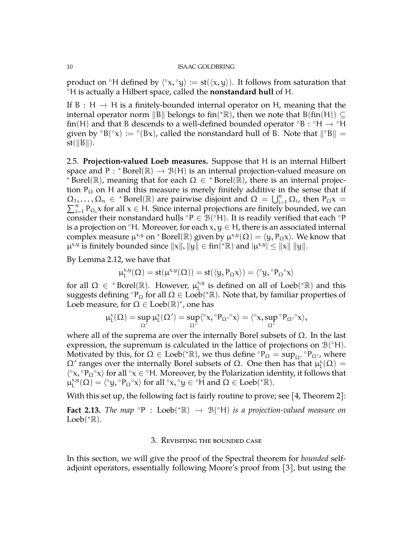product on  $\partial^{\alpha}H$  defined by  $\langle^{\circ}x, {}^{\circ}y \rangle := st(\langle x, y \rangle)$ . It follows from saturation that ◦H is actually a Hilbert space, called the **nonstandard hull** of H.

If B :  $H \rightarrow H$  is a finitely-bounded internal operator on H, meaning that the internal operator norm  $\|\mathbf{B}\|$  belongs to fin(\*R), then we note that  $\mathsf{B}(\widetilde{\mathsf{fin}}(\mathsf{H})) \subseteq$ fin(H) and that B descends to a well-defined bounded operator °B : °H  $\rightarrow$  °H given by  ${}^{\circ}B({}^{\circ}x) := {}^{\circ}(Bx)$ , called the nonstandard hull of B. Note that  $||{}^{\circ}B|| =$  $st(||B||)$ .

<span id="page-9-0"></span>2.5. **Projection-valued Loeb measures.** Suppose that H is an internal Hilbert space and P : \* Borel( $\mathbb{R}$ )  $\rightarrow$   $\mathcal{B}(H)$  is an internal projection-valued measure on \* Paral( $\mathbb{R}$ ). there is an internal projection \*Borel(R), meaning that for each  $\Omega \in$  \*Borel(R), there is an internal projection  $P_{\Omega}$  on H and this measure is merely finitely additive in the sense that if  $\Omega_1,\ldots,\Omega_n \in {^*}$ Borel(R) are pairwise disjoint and  $\Omega = \bigcup_{i=1}^n \Omega_i$ , then  $P_{\Omega}x =$  $\nabla_i^{\hat{n}}$  $\sum_{i=1}^{n} P_{\Omega_i} x$  for all  $x \in H$ . Since internal projections are finitely bounded, we can consider their nonstandard hulls  ${}^{\circ}P \in \overline{\mathcal{B}}({}^{\circ}H)$ . It is readily verified that each  ${}^{\circ}P$ is a projection on  $\circ$ H. Moreover, for each x,  $y \in H$ , there is an associated internal complex measure  $\mu^{x,y}$  on \* Borel(R) given by  $\mu^{x,y}(\Omega) = \langle y, P_{\Omega} x \rangle$ . We know that  $\mu^{x,y}$  is finitely bounded since  $||x||, ||y|| \in \text{fin}({}^*\mathbb{R})$  and  $|\mu^{x,y}| \le ||x|| \, ||y||$ .

By Lemma [2.12,](#page-8-0) we have that

$$
\mu_L^{x,y}(\Omega)=st(\mu^{x,y}(\Omega))=st(\langle y,P_\Omega x\rangle)=\langle^\circ y,{}^\circ P_\Omega{}^\circ x\rangle
$$

for all  $\Omega \in {^*}$  Borel( $\mathbb{R}$ ). However,  $\mu_L^{x,y}$  $L_{\text{L}}^{x,y}$  is defined on all of Loeb( ${}^*\mathbb{R}$ ) and this suggests defining  ${}^{\circ}P_{\Omega}$  for all  $\Omega \in \text{Loeb}({}^*\mathbb{R}).$  Note that, by familiar properties of Loeb measure, for  $\Omega \in \mathrm{Loeb}(\mathbb{R})^*$ , one has

$$
\mu_L^x(\Omega)=\sup_{\Omega'}\mu_L^x(\Omega')=\sup_{\Omega'}\langle{}^\circ x,{}^\circ P_{\Omega'}{}^\circ x\rangle=\langle{}^\circ x,\sup_{\Omega'}{}^\circ P_{\Omega'}{}^\circ x\rangle,
$$

where all of the suprema are over the internally Borel subsets of  $\Omega$ . In the last expression, the supremum is calculated in the lattice of projections on  $\mathcal{B}({}^{\circ}H)$ . Motivated by this, for  $\Omega \in \text{Loeb}(*\mathbb{R})$ , we thus define  ${}^{\circ}P_{\Omega} = \text{sup}_{\Omega'} {}^{\circ}P_{\Omega'}$ , where  $\Omega'$  ranges over the internally Borel subsets of  $\Omega$ . One then has that  $\mu_{L}^{x}(\Omega) =$  $\langle \alpha, \beta \rangle$  for all  $\alpha x \in \partial H$ . Moreover, by the Polarization identity, it follows that  $\mu_I^{x,y}$  $L_{L}^{x,y}(\Omega) = \langle^{\circ} y, {}^{\circ}P_{\Omega}{}^{\circ} x \rangle$  for all  ${}^{\circ} x, {}^{\circ} y \in {}^{\circ}H$  and  $\Omega \in \text{Loeb}({}^*\mathbb{R}).$ 

With this set up, the following fact is fairly routine to prove; see [\[4,](#page-15-0) Theorem 2]:

**Fact 2.13.** *The map*  ${}^{\circ}P$  : Loeb( ${}^* \mathbb{R}$ )  $\rightarrow$   $\mathcal{B}({}^{\circ}H)$  *is a projection-valued measure on* Loeb( <sup>∗</sup>R)*.*

## 3. Revisiting the bounded case

<span id="page-9-1"></span>In this section, we will give the proof of the Spectral theorem for *bounded* selfadjoint operators, essentially following Moore's proof from [\[3\]](#page-14-0), but using the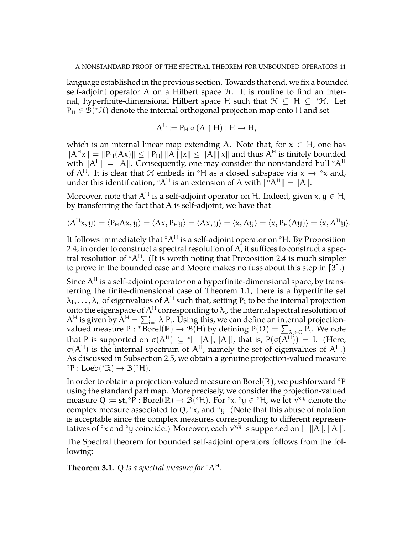language established in the previous section. Towards that end, we fix a bounded self-adjoint operator A on a Hilbert space  $H$ . It is routine to find an internal, hyperfinite-dimensional Hilbert space H such that  $\mathcal{H} \subseteq H \subseteq {}^*\mathcal{H}$ . Let  $P_H \in \mathcal{B}$ (\*H) denote the internal orthogonal projection map onto H and set

$$
A^H := P_H \circ (A \upharpoonright H) : H \to H,
$$

which is an internal linear map extending A. Note that, for  $x \in H$ , one has  $||A^Hx|| = ||P_H(Ax)|| \le ||P_H|| ||A|| ||x|| \le ||A|| ||x||$  and thus  $A^H$  is finitely bounded with  $||A^H|| = ||A||$ . Consequently, one may consider the nonstandard hull  $^{\circ}A^H$ of  $A^H$ . It is clear that H embeds in  $\partial H$  as a closed subspace via  $x \mapsto \partial x$  and, under this identification,  ${}^{\circ}A^{H}$  is an extension of A with  $\Vert {}^{\circ}A^{H}\Vert = \Vert A\Vert.$ 

Moreover, note that  $A^H$  is a self-adjoint operator on H. Indeed, given  $x, y \in H$ , by transferring the fact that A is self-adjoint, we have that

 $\langle A^H x, y \rangle = \langle P_H Ax, y \rangle = \langle Ax, P_H y \rangle = \langle Ax, y \rangle = \langle x, Ay \rangle = \langle x, P_H(Ay) \rangle = \langle x, A^H y \rangle.$ 

It follows immediately that  $\mathcal{A}^H$  is a self-adjoint operator on  $\mathcal{A}^H$ . By Proposition [2.4,](#page-5-0) in order to construct a spectral resolution of A, it suffices to construct a spectral resolution of  $\partial A^H$ . (It is worth noting that Proposition [2.4](#page-5-0) is much simpler to prove in the bounded case and Moore makes no fuss about this step in [\[3\]](#page-14-0).)

Since  $A<sup>H</sup>$  is a self-adjoint operator on a hyperfinite-dimensional space, by transferring the finite-dimensional case of Theorem [1.1,](#page-0-0) there is a hyperfinite set  $\lambda_1, \ldots, \lambda_n$  of eigenvalues of  $A^H$  such that, setting  $P_i$  to be the internal projection onto the eigenspace of  $\mathsf{A}^\mathsf{H}$  corresponding to  $\lambda_\mathfrak{i}$ , the internal spectral resolution of  $A^H$  is given by  $A^H = \sum_{i=1}^n \lambda_i P_i$ . Using this, we can define an internal projectionvalued measure P : \* Borel(R)  $\rightarrow$  B(H) by defining P( $\Omega$ ) =  $\sum_{\lambda_i \in \Omega} P_i$ . We note that P is supported on  $\sigma(A^H) \subseteq {}^*[-||A||, ||A||]$ , that is,  $P(\sigma(A^H)) = I$ . (Here,  $\sigma(A^H)$  is the internal spectrum of  $A^H$ , namely the set of eigenvalues of  $A^H$ .) As discussed in Subsection [2.5,](#page-9-0) we obtain a genuine projection-valued measure  ${}^{\circ}P : \text{Loeb}({}^*\mathbb{R}) \to \mathcal{B}({}^{\circ}H).$ 

In order to obtain a projection-valued measure on Borel( $\mathbb{R}$ ), we pushforward  $\circ$ P using the standard part map. More precisely, we consider the projection-valued measure  $Q := \mathbf{st}_*^{\circ}P : Borel(\mathbb{R}) \to B(\circ H)$ . For  $\circ x, \circ y \in {}^{\circ}H$ , we let  $v^{x,y}$  denote the complex measure associated to Q,  $\infty$ , and  $\infty$ y. (Note that this abuse of notation is acceptable since the complex measures corresponding to different representatives of °x and °y coincide.) Moreover, each  $v^{x,y}$  is supported on  $[-||A||,||A||]$ .

The Spectral theorem for bounded self-adjoint operators follows from the following:

<span id="page-10-0"></span>**Theorem 3.1.** Q *is a spectral measure for*  $^{\circ}$ A<sup>H</sup>.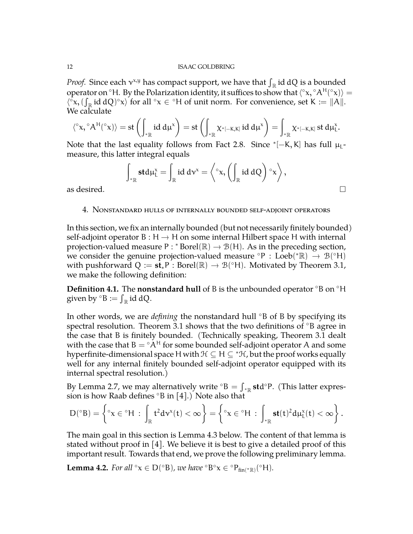*Proof.* Since each  $v^{x,y}$  has compact support, we have that  $\int_{\mathbb{R}}$  id dQ is a bounded operator on  $\rm^{\circ}H.$  By the Polarization identity, it suffices to show that  $\langle$   $\rm^{\circ}x, \rm^{\circ}A^{H}({\rm^{\circ}x}) \rangle =$  $\langle \overline{\alpha}x, (\int_{\mathbb{R}} id \, dQ) \circ x \rangle$  for all  $\alpha x \in {}^{\circ}H$  of unit norm. For convenience, set  $K := ||A||$ . We calculate

$$
\langle {}^\circ x, {}^\circ A^H({}^\circ x)\rangle=st\left(\int_{*{\mathbb R}}id\, d\mu^x\right)=st\left(\int_{*{\mathbb R}}\chi_{{}^*[ -K,K]} \,id\, d\mu^x\right)=\int_{*{\mathbb R}}\chi_{{}^*[ -K,K]}\,st\, d\mu_{{L}}^x.
$$

Note that the last equality follows from Fact [2.8.](#page-7-0) Since  $*[-K, K]$  has full  $\mu_L$ measure, this latter integral equals

$$
\int_{*{\mathbb R}} \mathbf{std} \mu_L^x = \int_{{\mathbb R}} \mathrm{id} \; d \nu^x = \left\langle {}^{\circ}x, \left( \int_{{\mathbb R}} \mathrm{id} \; d Q \right) {}^{\circ}x \right\rangle,
$$
 as desired.

# 4. Nonstandard hulls of internally bounded self-adjoint operators

In this section, we fix an internally bounded (but not necessarily finitely bounded) self-adjoint operator  $B : H \to H$  on some internal Hilbert space H with internal projection-valued measure P : \* Borel( $\mathbb{R}$ )  $\rightarrow$   $\mathcal{B}$ (H). As in the preceding section, we consider the genuine projection-valued measure °P : Loeb( ${}^* \mathbb{R}$ )  $\rightarrow \mathcal{B}({}^{\circ}H)$ with pushforward  $Q := st_*P$ : Borel( $\mathbb{R}$ )  $\rightarrow$   $\mathcal{B}({}^{\circ}H)$ . Motivated by Theorem [3.1,](#page-10-0) we make the following definition:

**Definition 4.1.** The **nonstandard hull** of B is the unbounded operator ◦B on ◦H given by  $\mathrm{^{\circ}B} := \int_{\mathbb{R}} \mathrm{id} \, \mathrm{d} \mathrm{Q}.$ 

In other words, we are *defining* the nonstandard hull ◦B of B by specifying its spectral resolution. Theorem [3.1](#page-10-0) shows that the two definitions of ◦B agree in the case that B is finitely bounded. (Technically speaking, Theorem [3.1](#page-10-0) dealt with the case that  $B = \circ A^H$  for some bounded self-adjoint operator A and some hyperfinite-dimensional space H with  $\mathcal{H} \subseteq \mathcal{H} \subseteq \mathcal{H}$ , but the proof works equally well for any internal finitely bounded self-adjoint operator equipped with its internal spectral resolution.)

By Lemma [2.7,](#page-6-0) we may alternatively write  ${}^{\circ}B = \int_{\mathbb{R}} \mathbf{std} \circ P$ . (This latter expression is how Raab defines  $\circ$ B in [\[4\]](#page-15-0).) Note also that

$$
D({^\circ} B)=\left\{{^\circ} x\in {^\circ} H\ : \ \int_{\mathbb{R}} t^2 d\nu^x(t)<\infty\right\}=\left\{{^\circ} x\in {^\circ} H\ : \ \int_{*{\mathbb{R}}} \mathbf{st}(t)^2 d\mu^x_L(t)<\infty\right\}.
$$

The main goal in this section is Lemma [4.3](#page-12-0) below. The content of that lemma is stated without proof in [\[4\]](#page-15-0). We believe it is best to give a detailed proof of this important result. Towards that end, we prove the following preliminary lemma.

<span id="page-11-0"></span>**Lemma 4.2.** *For all*  ${}^{\circ}x \in D({}^{\circ}B)$ *, we have*  ${}^{\circ}B^{\circ}x \in {}^{\circ}P_{fin(*\mathbb{R})}({}^{\circ}H)$ *.*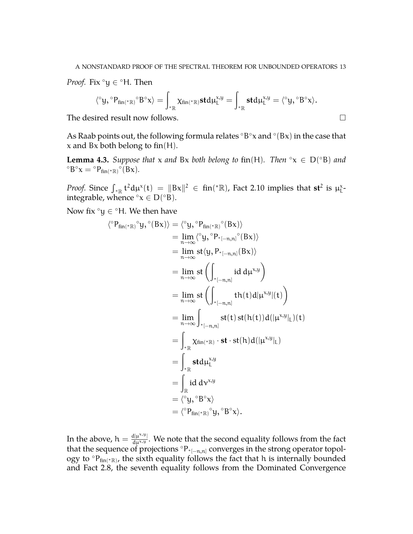*Proof.* Fix  $\degree y \in \degree H$ . Then

$$
\langle{}^\circ y,{}^\circ P_{fin({}^*\mathbb{R})}{}^\circ B^\circ x \rangle = \int_{{}^*\mathbb{R}} \chi_{fin({}^*\mathbb{R})} \textnormal{std} \mu_L^{x,y} = \int_{{}^*\mathbb{R}} \textnormal{std} \mu_L^{x,y} = \langle{}^\circ y, {}^\circ B^\circ x \rangle.
$$

The desired result now follows.

As Raab points out, the following formula relates  ${}^{\circ}B^{\circ}x$  and  ${}^{\circ}$ (Bx) in the case that x and Bx both belong to fin(H).

<span id="page-12-0"></span>**Lemma 4.3.** *Suppose that*  $x$  *and*  $Bx$  *both belong to* fin(H). *Then*  $\alpha x \in D(\alpha B)$  *and*  ${}^{\circ}B^{\circ}x = {}^{\circ}P_{fin(*\mathbb{R})}{}^{\circ}(Bx).$ 

*Proof.* Since  $\int_{*\mathbb{R}} t^2 d\mu^x(t) = ||Bx||^2 \in \text{fin}(*\mathbb{R})$ , Fact [2.10](#page-8-1) implies that st<sup>2</sup> is  $\mu^x_L$ integrable, whence ° $x \in D$  (°B).

Now fix  $\mathrm{^{\circ}y} \in \mathrm{^{\circ}H}$ . We then have

$$
\langle {}^{\circ}P_{fin(*\mathbb{R})}{}^{\circ}y, {}^{\circ}(Bx)\rangle = \langle {}^{\circ}y, {}^{\circ}P_{fin(*\mathbb{R})}{}^{\circ}(Bx)\rangle
$$
  
\n
$$
= \lim_{n\to\infty} \langle {}^{\circ}y, {}^{\circ}P_{*[-n,n]}{}^{\circ}(Bx)\rangle
$$
  
\n
$$
= \lim_{n\to\infty} st\langle y, P_{*[-n,n]}(Bx)\rangle
$$
  
\n
$$
= \lim_{n\to\infty} st\left(\int_{*[-n,n]} id \ d\mu^{x,y}\right)
$$
  
\n
$$
= \lim_{n\to\infty} st\left(\int_{*[-n,n]} th(t) d|\mu^{x,y}|(t)\right)
$$
  
\n
$$
= \lim_{n\to\infty} \int_{*[-n,n]} st(t) st(h(t)) d(|\mu^{x,y}|_{L})(t)
$$
  
\n
$$
= \int_{* \mathbb{R}} \chi_{fin(*\mathbb{R})} \cdot st \cdot st(h) d(|\mu^{x,y}|_{L})
$$
  
\n
$$
= \int_{* \mathbb{R}} st d\mu_{L}^{x,y}
$$
  
\n
$$
= \int_{\mathbb{R}} id d\nu^{x,y}
$$
  
\n
$$
= \langle {}^{\circ}y, {}^{\circ}B^{\circ}x \rangle
$$
  
\n
$$
= \langle {}^{\circ}P_{fin(*\mathbb{R})}{}^{\circ}y, {}^{\circ}B^{\circ}x \rangle.
$$

In the above,  $h = \frac{d|\mu^{x,y}|}{d\mu^{x,y}}$ . We note that the second equality follows from the fact that the sequence of projections  ${}^{\circ}P_{*[-n,n]}$  converges in the strong operator topology to  ${}^{\circ}P_{fin(*\mathbb{R})}$ , the sixth equality follows the fact that h is internally bounded and Fact [2.8,](#page-7-0) the seventh equality follows from the Dominated Convergence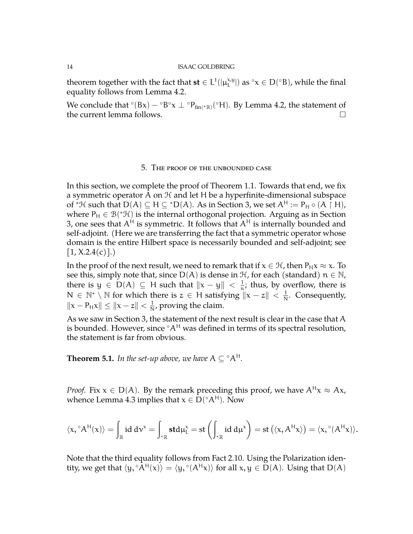theorem together with the fact that  $st \in L^1(|\mu_1^{x,y})$  $L^{\mathsf{x}, \mathsf{y}}$  as  $\mathsf{P} \mathsf{x} \in \mathsf{D}(\mathsf{P} \mathsf{B})$ , while the final equality follows from Lemma [4.2.](#page-11-0)

We conclude that  $\rm^{\circ} (Bx) - ^{\circ}B^{\circ}x \perp \rm^{\circ}P_{fin(*\mathbb{R})} (^{\circ}H)$ . By Lemma [4.2,](#page-11-0) the statement of the current lemma follows.  $\Box$ 

## 5. The proof of the unbounded case

In this section, we complete the proof of Theorem [1.1.](#page-0-0) Towards that end, we fix a symmetric operator  $\tilde{A}$  on  $H$  and let H be a hyperfinite-dimensional subspace of \*H such that  $D(A) \subseteq H \subseteq {}^*D(A)$ . As in Section [3,](#page-9-1) we set  $A^H := P_H \circ (A \cap H)$ , where  $P_H \in \mathcal{B}$ (\* $\mathcal{H}$ ) is the internal orthogonal projection. Arguing as in Section [3,](#page-9-1) one sees that  $A^H$  is symmetric. It follows that  $A^H$  is internally bounded and self-adjoint. (Here we are transferring the fact that a symmetric operator whose domain is the entire Hilbert space is necessarily bounded and self-adjoint; see  $[1, X.2.4(c)]$  $[1, X.2.4(c)]$ .

In the proof of the next result, we need to remark that if  $x \in \mathcal{H}$ , then  $P_H x \approx x$ . To see this, simply note that, since  $D(A)$  is dense in  $H$ , for each (standard)  $n \in \mathbb{N}$ , there is  $y \in D(A) \subseteq H$  such that  $||x - y|| < \frac{1}{n}$  $\frac{1}{n}$ ; thus, by overflow, there is N ∈  $\mathbb{N}^* \setminus \mathbb{N}$  for which there is  $z \in \mathbb{H}$  satisfying  $\|x - z\| < \frac{1}{\mathbb{N}}$  $\frac{1}{N}$ . Consequently,  $\|x - P_Hx\| \leq \|x - z\| < \frac{1}{N}$  $\frac{1}{N}$ , proving the claim.

As we saw in Section [3,](#page-9-1) the statement of the next result is clear in the case that A is bounded. However, since  $\mathcal{A}^H$  was defined in terms of its spectral resolution, the statement is far from obvious.

**Theorem 5.1.** *In the set-up above, we have*  $A \subseteq {}^{\circ}A^{H}$ *.* 

*Proof.* Fix  $x \in D(A)$ . By the remark preceding this proof, we have  $A^H x \approx Ax$ , whence Lemma [4.3](#page-12-0) implies that  $x \in D({^\circ A^H}).$  Now

$$
\langle x, {}^\circ A^H(x)\rangle=\int_{\mathbb{R}} id\, d\nu^x=\int_{*{\mathbb{R}}} \text{std}\mu^x_L=\text{st}\left(\int_{*{\mathbb{R}}} id\, d\mu^x\right)=\text{st}\left(\langle x, A^Hx\rangle\right)=\langle x, {}^\circ (A^Hx)\rangle.
$$

Note that the third equality follows from Fact [2.10.](#page-8-1) Using the Polarization identity, we get that  $\langle y, \, \circ A^H(x) \rangle = \langle y, \, \circ (A^H x) \rangle$  for all  $x, y \in D(A)$ . Using that  $D(A)$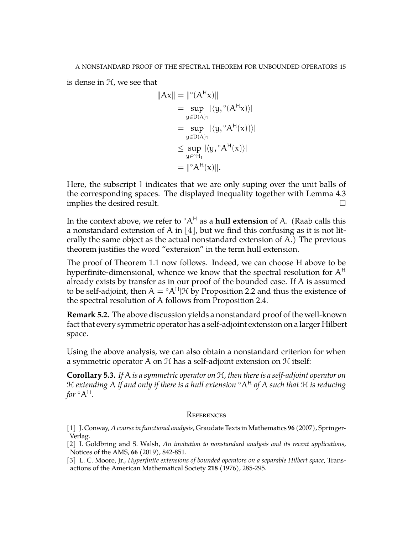is dense in  $H$ , we see that

$$
||Ax|| = ||^{\circ}(A^{H}x)||
$$
  
\n
$$
= \sup_{y \in D(A)_{1}} |\langle y, ^{\circ}(A^{H}x) \rangle|
$$
  
\n
$$
= \sup_{y \in D(A)_{1}} |\langle y, ^{\circ}A^{H}(x) \rangle|
$$
  
\n
$$
\leq \sup_{y \in ^{\circ}H_{1}} |\langle y, ^{\circ}A^{H}(x) \rangle|
$$
  
\n
$$
= ||^{\circ}A^{H}(x)||.
$$

Here, the subscript 1 indicates that we are only suping over the unit balls of the corresponding spaces. The displayed inequality together with Lemma [4.3](#page-12-0) implies the desired result.

In the context above, we refer to ◦A<sup>H</sup> as a **hull extension** of A. (Raab calls this a nonstandard extension of A in [\[4\]](#page-15-0), but we find this confusing as it is not literally the same object as the actual nonstandard extension of A.) The previous theorem justifies the word "extension" in the term hull extension.

The proof of Theorem [1.1](#page-0-0) now follows. Indeed, we can choose H above to be hyperfinite-dimensional, whence we know that the spectral resolution for  $A<sup>H</sup>$ already exists by transfer as in our proof of the bounded case. If A is assumed to be self-adjoint, then  $A = \circ A^H/H$  by Proposition [2.2](#page-4-0) and thus the existence of the spectral resolution of A follows from Proposition [2.4.](#page-5-0)

**Remark 5.2.** The above discussion yields a nonstandard proof of the well-known fact that every symmetric operator has a self-adjoint extension on a larger Hilbert space.

Using the above analysis, we can also obtain a nonstandard criterion for when a symmetric operator A on  $H$  has a self-adjoint extension on  $H$  itself:

**Corollary 5.3.** *If* A *is a symmetric operator on* H*, then there is a self-adjoint operator on* H *extending* A *if and only if there is a hull extension* ◦A<sup>H</sup> *of* A *such that* H *is reducing for*  $^{\circ}A^{H}$ *.* 

# **REFERENCES**

<span id="page-14-2"></span>[1] J. Conway, *A course in functional analysis*, Graudate Texts in Mathematics **96** (2007), Springer-Verlag.

- <span id="page-14-1"></span>[2] I. Goldbring and S. Walsh, *An invitation to nonstandard analysis and its recent applications*, Notices of the AMS, **66** (2019), 842-851.
- <span id="page-14-0"></span>[3] L. C. Moore, Jr., *Hyperfinite extensions of bounded operators on a separable Hilbert space*, Transactions of the American Mathematical Society **218** (1976), 285-295.